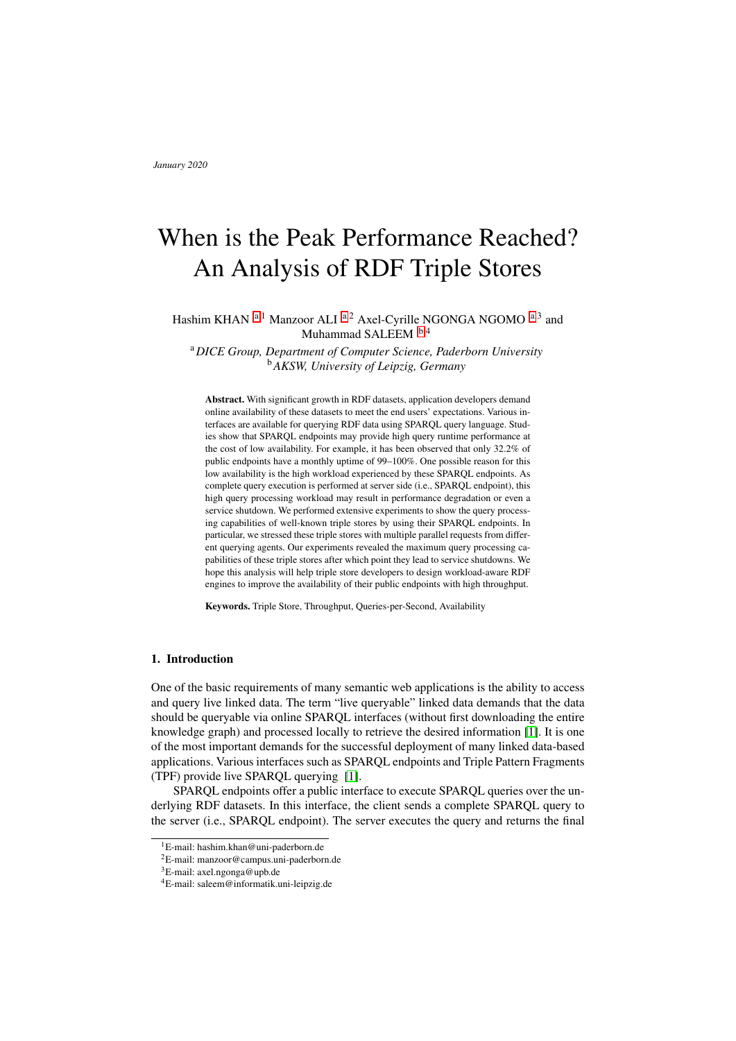# When is the Peak Performance Reached? An Analysis of RDF Triple Stores

H[a](#page-0-0)shim KHAN <sup>a,1</sup> Manzoor ALI <sup>a,2</sup> Axel-Cyrille NGONGA NGOMO <sup>a,3</sup> and Muhammad SALEEM  $b,4$  $b,4$ 

<span id="page-0-1"></span><sup>a</sup>*DICE Group, Department of Computer Science, Paderborn University* <sup>b</sup>*AKSW, University of Leipzig, Germany*

<span id="page-0-0"></span>Abstract. With significant growth in RDF datasets, application developers demand online availability of these datasets to meet the end users' expectations. Various interfaces are available for querying RDF data using SPARQL query language. Studies show that SPARQL endpoints may provide high query runtime performance at the cost of low availability. For example, it has been observed that only 32.2% of public endpoints have a monthly uptime of 99–100%. One possible reason for this low availability is the high workload experienced by these SPARQL endpoints. As complete query execution is performed at server side (i.e., SPARQL endpoint), this high query processing workload may result in performance degradation or even a service shutdown. We performed extensive experiments to show the query processing capabilities of well-known triple stores by using their SPARQL endpoints. In particular, we stressed these triple stores with multiple parallel requests from different querying agents. Our experiments revealed the maximum query processing capabilities of these triple stores after which point they lead to service shutdowns. We hope this analysis will help triple store developers to design workload-aware RDF engines to improve the availability of their public endpoints with high throughput.

Keywords. Triple Store, Throughput, Queries-per-Second, Availability

## 1. Introduction

One of the basic requirements of many semantic web applications is the ability to access and query live linked data. The term "live queryable" linked data demands that the data should be queryable via online SPARQL interfaces (without first downloading the entire knowledge graph) and processed locally to retrieve the desired information [\[1\]](#page-11-0). It is one of the most important demands for the successful deployment of many linked data-based applications. Various interfaces such as SPARQL endpoints and Triple Pattern Fragments (TPF) provide live SPARQL querying [\[1\]](#page-11-0).

SPARQL endpoints offer a public interface to execute SPARQL queries over the underlying RDF datasets. In this interface, the client sends a complete SPARQL query to the server (i.e., SPARQL endpoint). The server executes the query and returns the final

<sup>&</sup>lt;sup>1</sup>E-mail: hashim.khan@uni-paderborn.de

<sup>2</sup>E-mail: manzoor@campus.uni-paderborn.de

<sup>3</sup>E-mail: axel.ngonga@upb.de

<sup>4</sup>E-mail: saleem@informatik.uni-leipzig.de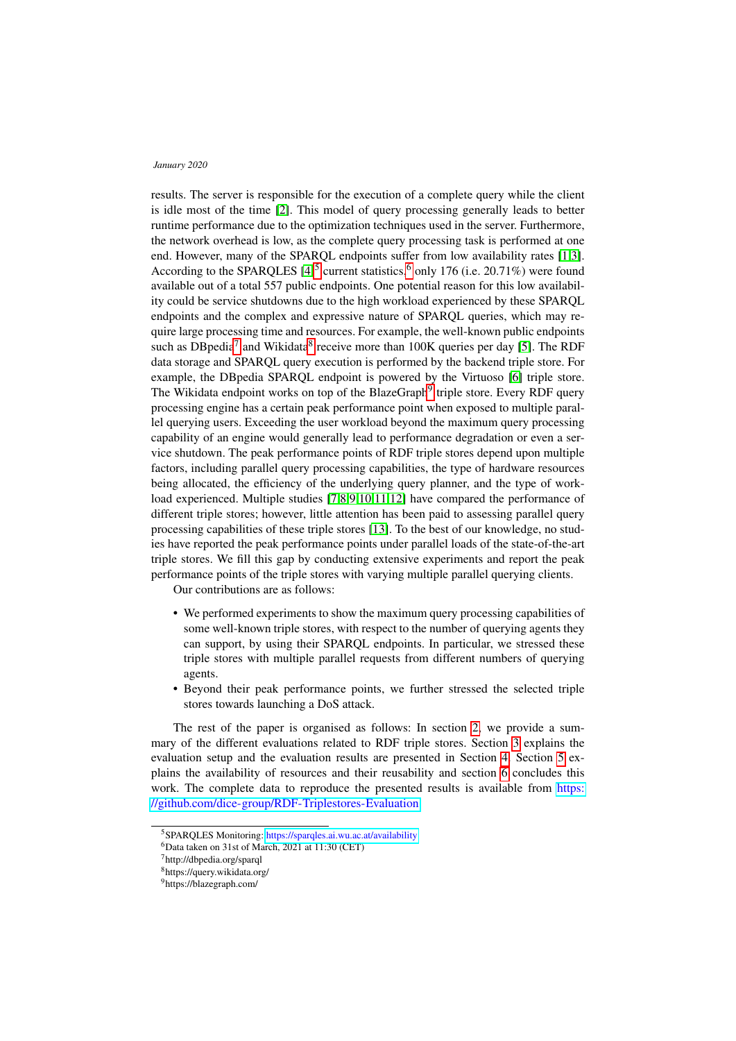results. The server is responsible for the execution of a complete query while the client is idle most of the time [\[2\]](#page-11-1). This model of query processing generally leads to better runtime performance due to the optimization techniques used in the server. Furthermore, the network overhead is low, as the complete query processing task is performed at one end. However, many of the SPARQL endpoints suffer from low availability rates [\[1,](#page-11-0)[3\]](#page-11-2). According to the SPARQLES  $[4]^{5}$  $[4]^{5}$  $[4]^{5}$  $[4]^{5}$  current statistics,<sup>[6](#page-1-1)</sup> only 176 (i.e. 20.71%) were found available out of a total 557 public endpoints. One potential reason for this low availability could be service shutdowns due to the high workload experienced by these SPARQL endpoints and the complex and expressive nature of SPARQL queries, which may require large processing time and resources. For example, the well-known public endpoints such as DB pedia<sup>[7](#page-1-2)</sup> and Wikidata<sup>[8](#page-1-3)</sup> receive more than  $100K$  queries per day [\[5\]](#page-11-4). The RDF data storage and SPARQL query execution is performed by the backend triple store. For example, the DBpedia SPARQL endpoint is powered by the Virtuoso [\[6\]](#page-11-5) triple store. The Wikidata endpoint works on top of the BlazeGraph<sup>[9](#page-1-4)</sup> triple store. Every RDF query processing engine has a certain peak performance point when exposed to multiple parallel querying users. Exceeding the user workload beyond the maximum query processing capability of an engine would generally lead to performance degradation or even a service shutdown. The peak performance points of RDF triple stores depend upon multiple factors, including parallel query processing capabilities, the type of hardware resources being allocated, the efficiency of the underlying query planner, and the type of workload experienced. Multiple studies [\[7,](#page-11-6)[8](#page-11-7)[,9](#page-12-0)[,10](#page-12-1)[,11,](#page-12-2)[12\]](#page-12-3) have compared the performance of different triple stores; however, little attention has been paid to assessing parallel query processing capabilities of these triple stores [\[13\]](#page-12-4). To the best of our knowledge, no studies have reported the peak performance points under parallel loads of the state-of-the-art triple stores. We fill this gap by conducting extensive experiments and report the peak performance points of the triple stores with varying multiple parallel querying clients.

Our contributions are as follows:

- We performed experiments to show the maximum query processing capabilities of some well-known triple stores, with respect to the number of querying agents they can support, by using their SPARQL endpoints. In particular, we stressed these triple stores with multiple parallel requests from different numbers of querying agents.
- Beyond their peak performance points, we further stressed the selected triple stores towards launching a DoS attack.

The rest of the paper is organised as follows: In section [2,](#page-2-0) we provide a summary of the different evaluations related to RDF triple stores. Section [3](#page-4-0) explains the evaluation setup and the evaluation results are presented in Section [4.](#page-7-0) Section [5](#page-10-0) explains the availability of resources and their reusability and section [6](#page-11-8) concludes this work. The complete data to reproduce the presented results is available from [https:](https://github.com/dice-group/RDF-Triplestores-Evaluation) [//github.com/dice-group/RDF-Triplestores-Evaluation.](https://github.com/dice-group/RDF-Triplestores-Evaluation)

<span id="page-1-0"></span><sup>5</sup>SPARQLES Monitoring: <https://sparqles.ai.wu.ac.at/availability>

<span id="page-1-1"></span> ${}^{6}$ Data taken on 31st of March, 2021 at 11:30 (CET)

<span id="page-1-2"></span><sup>7</sup>http://dbpedia.org/sparql

<span id="page-1-3"></span><sup>8</sup>https://query.wikidata.org/

<span id="page-1-4"></span><sup>9</sup>https://blazegraph.com/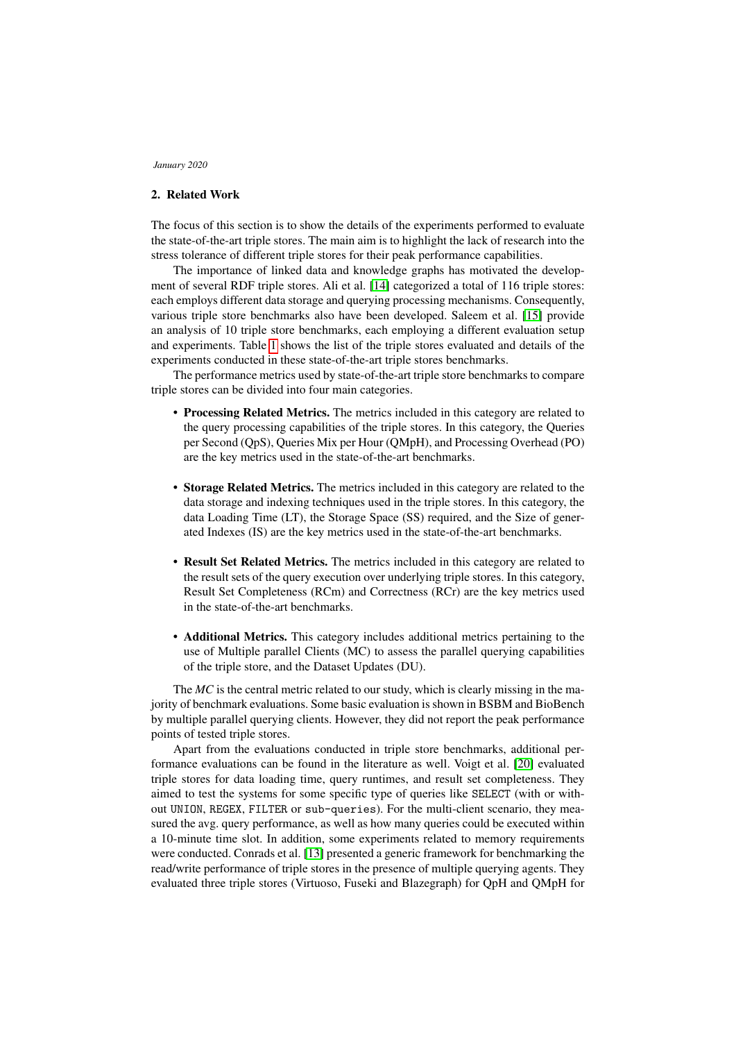# <span id="page-2-0"></span>2. Related Work

The focus of this section is to show the details of the experiments performed to evaluate the state-of-the-art triple stores. The main aim is to highlight the lack of research into the stress tolerance of different triple stores for their peak performance capabilities.

The importance of linked data and knowledge graphs has motivated the development of several RDF triple stores. Ali et al. [\[14\]](#page-12-5) categorized a total of 116 triple stores: each employs different data storage and querying processing mechanisms. Consequently, various triple store benchmarks also have been developed. Saleem et al. [\[15\]](#page-12-6) provide an analysis of 10 triple store benchmarks, each employing a different evaluation setup and experiments. Table [1](#page-3-0) shows the list of the triple stores evaluated and details of the experiments conducted in these state-of-the-art triple stores benchmarks.

The performance metrics used by state-of-the-art triple store benchmarks to compare triple stores can be divided into four main categories.

- Processing Related Metrics. The metrics included in this category are related to the query processing capabilities of the triple stores. In this category, the Queries per Second (QpS), Queries Mix per Hour (QMpH), and Processing Overhead (PO) are the key metrics used in the state-of-the-art benchmarks.
- Storage Related Metrics. The metrics included in this category are related to the data storage and indexing techniques used in the triple stores. In this category, the data Loading Time (LT), the Storage Space (SS) required, and the Size of generated Indexes (IS) are the key metrics used in the state-of-the-art benchmarks.
- Result Set Related Metrics. The metrics included in this category are related to the result sets of the query execution over underlying triple stores. In this category, Result Set Completeness (RCm) and Correctness (RCr) are the key metrics used in the state-of-the-art benchmarks.
- Additional Metrics. This category includes additional metrics pertaining to the use of Multiple parallel Clients (MC) to assess the parallel querying capabilities of the triple store, and the Dataset Updates (DU).

The *MC* is the central metric related to our study, which is clearly missing in the majority of benchmark evaluations. Some basic evaluation is shown in BSBM and BioBench by multiple parallel querying clients. However, they did not report the peak performance points of tested triple stores.

Apart from the evaluations conducted in triple store benchmarks, additional performance evaluations can be found in the literature as well. Voigt et al. [\[20\]](#page-12-7) evaluated triple stores for data loading time, query runtimes, and result set completeness. They aimed to test the systems for some specific type of queries like SELECT (with or without UNION, REGEX, FILTER or sub-queries). For the multi-client scenario, they measured the avg. query performance, as well as how many queries could be executed within a 10-minute time slot. In addition, some experiments related to memory requirements were conducted. Conrads et al. [\[13\]](#page-12-4) presented a generic framework for benchmarking the read/write performance of triple stores in the presence of multiple querying agents. They evaluated three triple stores (Virtuoso, Fuseki and Blazegraph) for QpH and QMpH for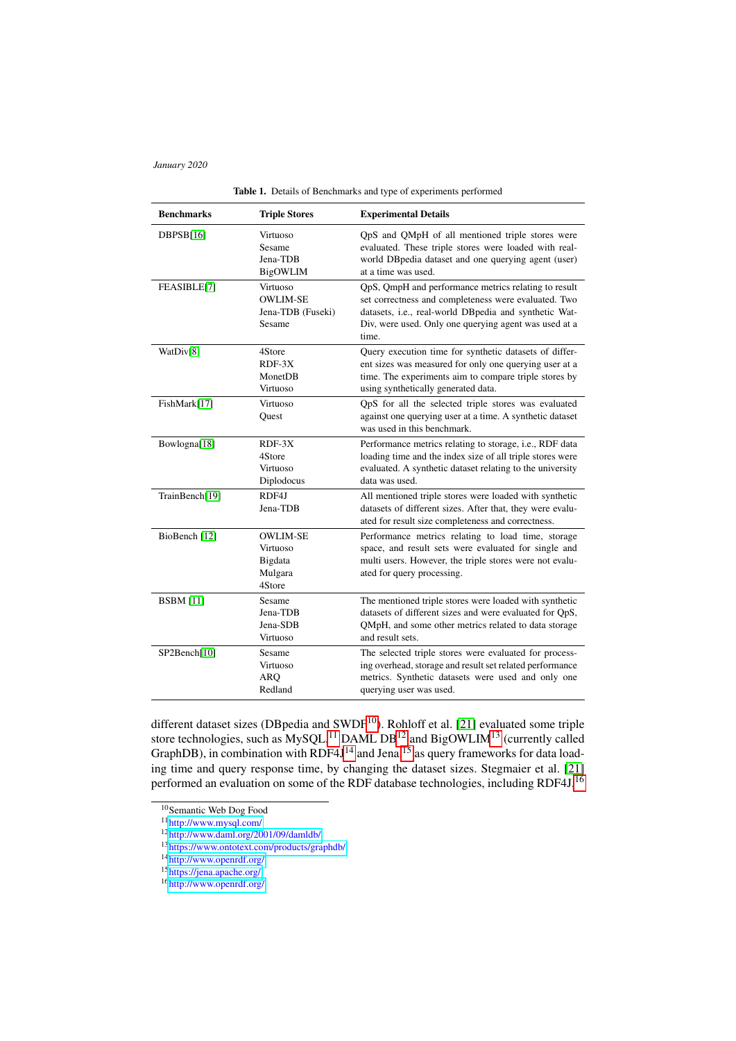<span id="page-3-0"></span>

| <b>Benchmarks</b>        | <b>Triple Stores</b>                                        | <b>Experimental Details</b>                                                                                                                                                                                                             |  |  |  |  |
|--------------------------|-------------------------------------------------------------|-----------------------------------------------------------------------------------------------------------------------------------------------------------------------------------------------------------------------------------------|--|--|--|--|
| DBPSB[16]                | Virtuoso<br>Sesame<br>Jena-TDB<br>BigOWLIM                  | QpS and QMpH of all mentioned triple stores were<br>evaluated. These triple stores were loaded with real-<br>world DBpedia dataset and one querying agent (user)<br>at a time was used.                                                 |  |  |  |  |
| FEASIBLE[7]              | Virtuoso<br><b>OWLIM-SE</b><br>Jena-TDB (Fuseki)<br>Sesame  | QpS, QmpH and performance metrics relating to result<br>set correctness and completeness were evaluated. Two<br>datasets, i.e., real-world DBpedia and synthetic Wat-<br>Div, were used. Only one querying agent was used at a<br>time. |  |  |  |  |
| WatDiv[8]                | 4Store<br>$RDF-3X$<br>MonetDB<br>Virtuoso                   | Query execution time for synthetic datasets of differ-<br>ent sizes was measured for only one querying user at a<br>time. The experiments aim to compare triple stores by<br>using synthetically generated data.                        |  |  |  |  |
| FishMark[17]             | Virtuoso<br>Quest                                           | QpS for all the selected triple stores was evaluated<br>against one querying user at a time. A synthetic dataset<br>was used in this benchmark.                                                                                         |  |  |  |  |
| Bowlogna[18]             | $RDF-3X$<br>4Store<br>Virtuoso<br>Diplodocus                | Performance metrics relating to storage, i.e., RDF data<br>loading time and the index size of all triple stores were<br>evaluated. A synthetic dataset relating to the university<br>data was used.                                     |  |  |  |  |
| TrainBench[19]           | RDF4J<br>Jena-TDB                                           | All mentioned triple stores were loaded with synthetic<br>datasets of different sizes. After that, they were evalu-<br>ated for result size completeness and correctness.                                                               |  |  |  |  |
| BioBench <sup>[12]</sup> | <b>OWLIM-SE</b><br>Virtuoso<br>Bigdata<br>Mulgara<br>4Store | Performance metrics relating to load time, storage<br>space, and result sets were evaluated for single and<br>multi users. However, the triple stores were not evalu-<br>ated for query processing.                                     |  |  |  |  |
| <b>BSBM</b> [11]         | Sesame<br>Jena-TDB<br>Jena-SDB<br>Virtuoso                  | The mentioned triple stores were loaded with synthetic<br>datasets of different sizes and were evaluated for QpS,<br>QMpH, and some other metrics related to data storage<br>and result sets.                                           |  |  |  |  |
| SP2Bench[10]             | Sesame<br>Virtuoso<br><b>ARQ</b><br>Redland                 | The selected triple stores were evaluated for process-<br>ing overhead, storage and result set related performance<br>metrics. Synthetic datasets were used and only one<br>querying user was used.                                     |  |  |  |  |

|  |  | Table 1. Details of Benchmarks and type of experiments performed |  |  |  |  |
|--|--|------------------------------------------------------------------|--|--|--|--|
|--|--|------------------------------------------------------------------|--|--|--|--|

different dataset sizes (DBpedia and SWDF $^{10}$  $^{10}$  $^{10}$ ). Rohloff et al. [\[21\]](#page-12-12) evaluated some triple store technologies, such as MySQL,<sup>[11](#page-3-2)</sup> DAML DB<sup>[12](#page-3-3)</sup> and BigOWLIM<sup>[13](#page-3-4)</sup> (currently called GraphDB), in combination with RDF4J $<sup>14</sup>$  $<sup>14</sup>$  $<sup>14</sup>$  and Jena,  $<sup>15</sup>$  $<sup>15</sup>$  $<sup>15</sup>$  as query frameworks for data load-</sup></sup> ing time and query response time, by changing the dataset sizes. Stegmaier et al. [\[21\]](#page-12-12) performed an evaluation on some of the RDF database technologies, including RDF4J,<sup>[16](#page-3-7)</sup>

<span id="page-3-1"></span><sup>&</sup>lt;sup>10</sup>Semantic Web Dog Food

<span id="page-3-2"></span><sup>11</sup><http://www.mysql.com/>

<span id="page-3-3"></span> $12$ <http://www.daml.org/2001/09/damldb/>

<span id="page-3-4"></span><sup>13</sup><https://www.ontotext.com/products/graphdb/>

<span id="page-3-5"></span><sup>&</sup>lt;sup>14</sup><http://www.openrdf.org/>

<span id="page-3-6"></span><sup>15</sup><https://jena.apache.org/>

<span id="page-3-7"></span><sup>16</sup><http://www.openrdf.org/>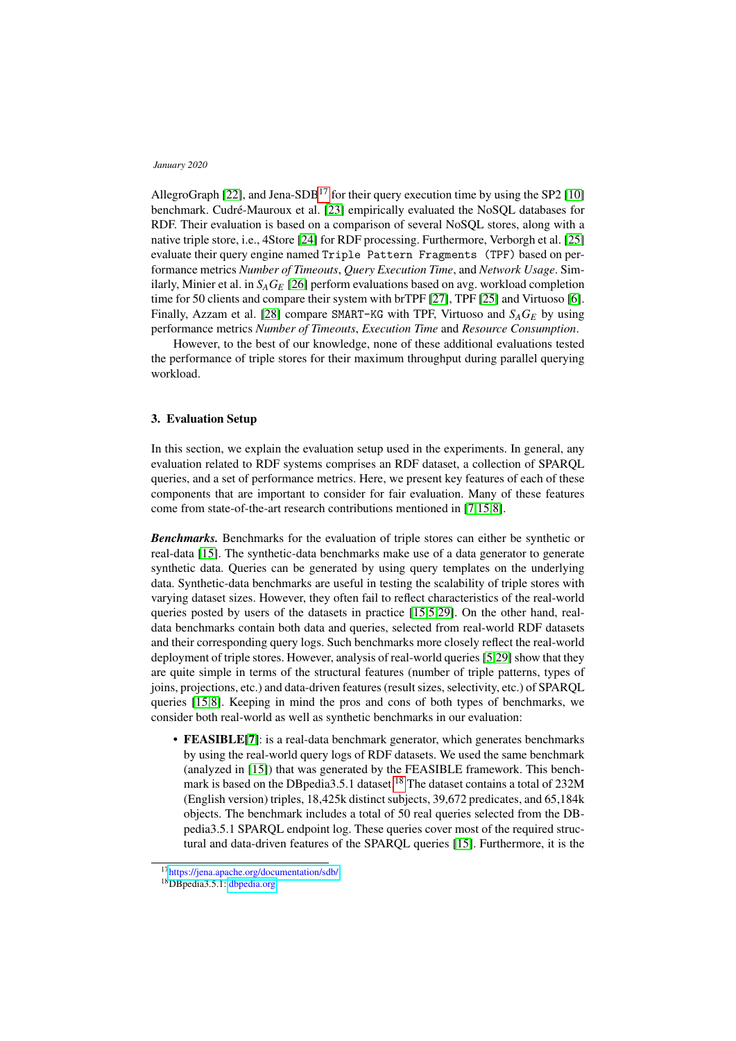AllegroGraph [\[22\]](#page-12-13), and Jena-SDB<sup>[17](#page-4-1)</sup> for their query execution time by using the SP2 [\[10\]](#page-12-1) benchmark. Cudré-Mauroux et al. [\[23\]](#page-12-14) empirically evaluated the NoSQL databases for RDF. Their evaluation is based on a comparison of several NoSQL stores, along with a native triple store, i.e., 4Store [\[24\]](#page-12-15) for RDF processing. Furthermore, Verborgh et al. [\[25\]](#page-12-16) evaluate their query engine named Triple Pattern Fragments (TPF) based on performance metrics *Number of Timeouts*, *Query Execution Time*, and *Network Usage*. Similarly, Minier et al. in  $S_A G_E$  [\[26\]](#page-12-17) perform evaluations based on avg. workload completion time for 50 clients and compare their system with brTPF [\[27\]](#page-12-18), TPF [\[25\]](#page-12-16) and Virtuoso [\[6\]](#page-11-5). Finally, Azzam et al. [\[28\]](#page-12-19) compare SMART-KG with TPF, Virtuoso and  $S_A G_E$  by using performance metrics *Number of Timeouts*, *Execution Time* and *Resource Consumption*.

However, to the best of our knowledge, none of these additional evaluations tested the performance of triple stores for their maximum throughput during parallel querying workload.

## <span id="page-4-0"></span>3. Evaluation Setup

In this section, we explain the evaluation setup used in the experiments. In general, any evaluation related to RDF systems comprises an RDF dataset, a collection of SPARQL queries, and a set of performance metrics. Here, we present key features of each of these components that are important to consider for fair evaluation. Many of these features come from state-of-the-art research contributions mentioned in [\[7,](#page-11-6)[15,](#page-12-6)[8\]](#page-11-7).

*Benchmarks.* Benchmarks for the evaluation of triple stores can either be synthetic or real-data [\[15\]](#page-12-6). The synthetic-data benchmarks make use of a data generator to generate synthetic data. Queries can be generated by using query templates on the underlying data. Synthetic-data benchmarks are useful in testing the scalability of triple stores with varying dataset sizes. However, they often fail to reflect characteristics of the real-world queries posted by users of the datasets in practice [\[15,](#page-12-6)[5](#page-11-4)[,29\]](#page-12-20). On the other hand, realdata benchmarks contain both data and queries, selected from real-world RDF datasets and their corresponding query logs. Such benchmarks more closely reflect the real-world deployment of triple stores. However, analysis of real-world queries [\[5,](#page-11-4)[29\]](#page-12-20) show that they are quite simple in terms of the structural features (number of triple patterns, types of joins, projections, etc.) and data-driven features (result sizes, selectivity, etc.) of SPARQL queries [\[15,](#page-12-6)[8\]](#page-11-7). Keeping in mind the pros and cons of both types of benchmarks, we consider both real-world as well as synthetic benchmarks in our evaluation:

• **FEASIBLE**[\[7\]](#page-11-6): is a real-data benchmark generator, which generates benchmarks by using the real-world query logs of RDF datasets. We used the same benchmark (analyzed in [\[15\]](#page-12-6)) that was generated by the FEASIBLE framework. This bench-mark is based on the DBpedia3.5.1 dataset.<sup>[18](#page-4-2)</sup> The dataset contains a total of 232M (English version) triples, 18,425k distinct subjects, 39,672 predicates, and 65,184k objects. The benchmark includes a total of 50 real queries selected from the DBpedia3.5.1 SPARQL endpoint log. These queries cover most of the required structural and data-driven features of the SPARQL queries [\[15\]](#page-12-6). Furthermore, it is the

<span id="page-4-1"></span><sup>17</sup><https://jena.apache.org/documentation/sdb/>

<span id="page-4-2"></span><sup>18</sup>DBpedia3.5.1: <dbpedia.org>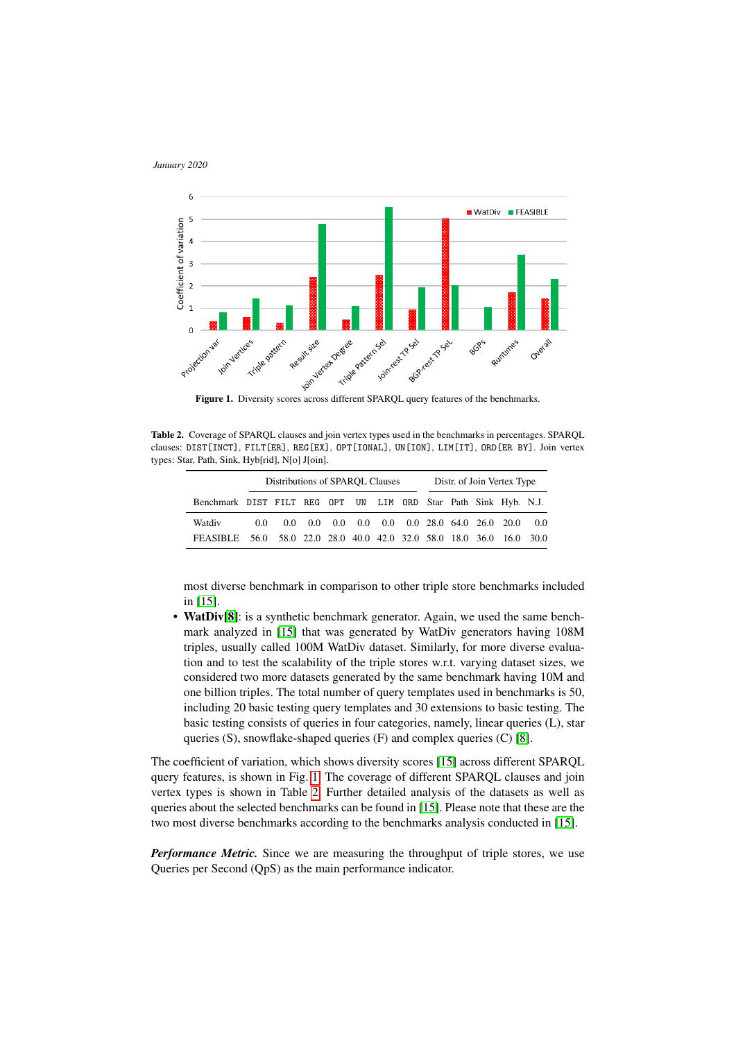

<span id="page-5-0"></span>

<span id="page-5-1"></span>Table 2. Coverage of SPARQL clauses and join vertex types used in the benchmarks in percentages. SPARQL clauses: DIST[INCT], FILT[ER], REG[EX], OPT[IONAL], UN[ION], LIM[IT], ORD[ER BY]. Join vertex types: Star, Path, Sink, Hyb[rid], N[o] J[oin].

|                                                                      | Distributions of SPAROL Clauses |  |  |  |  |  | Distr. of Join Vertex Type |  |  |  |                                                                       |       |
|----------------------------------------------------------------------|---------------------------------|--|--|--|--|--|----------------------------|--|--|--|-----------------------------------------------------------------------|-------|
| Benchmark DIST FILT REG OPT UN LIM ORD Star Path Sink Hyb. N.J.      |                                 |  |  |  |  |  |                            |  |  |  |                                                                       |       |
| Watdiv                                                               | 0.0                             |  |  |  |  |  |                            |  |  |  | $0.0$ $0.0$ $0.0$ $0.0$ $0.0$ $0.0$ $0.0$ $28.0$ $64.0$ $26.0$ $20.0$ | - 0.0 |
| FEASIBLE 56.0 58.0 22.0 28.0 40.0 42.0 32.0 58.0 18.0 36.0 16.0 30.0 |                                 |  |  |  |  |  |                            |  |  |  |                                                                       |       |

most diverse benchmark in comparison to other triple store benchmarks included in [\[15\]](#page-12-6).

• WatDiv[\[8\]](#page-11-7): is a synthetic benchmark generator. Again, we used the same benchmark analyzed in [\[15\]](#page-12-6) that was generated by WatDiv generators having 108M triples, usually called 100M WatDiv dataset. Similarly, for more diverse evaluation and to test the scalability of the triple stores w.r.t. varying dataset sizes, we considered two more datasets generated by the same benchmark having 10M and one billion triples. The total number of query templates used in benchmarks is 50, including 20 basic testing query templates and 30 extensions to basic testing. The basic testing consists of queries in four categories, namely, linear queries (L), star queries (S), snowflake-shaped queries (F) and complex queries (C) [\[8\]](#page-11-7).

The coefficient of variation, which shows diversity scores [\[15\]](#page-12-6) across different SPARQL query features, is shown in Fig. [1.](#page-5-0) The coverage of different SPARQL clauses and join vertex types is shown in Table [2.](#page-5-1) Further detailed analysis of the datasets as well as queries about the selected benchmarks can be found in [\[15\]](#page-12-6). Please note that these are the two most diverse benchmarks according to the benchmarks analysis conducted in [\[15\]](#page-12-6).

*Performance Metric.* Since we are measuring the throughput of triple stores, we use Queries per Second (QpS) as the main performance indicator.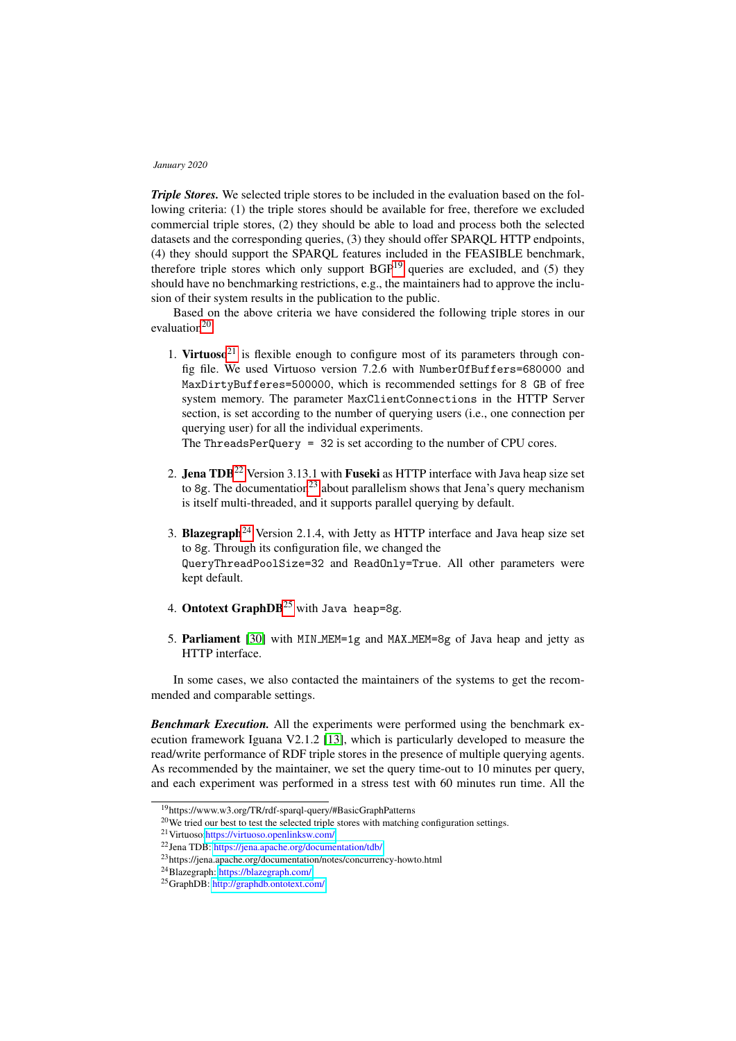*Triple Stores.* We selected triple stores to be included in the evaluation based on the following criteria: (1) the triple stores should be available for free, therefore we excluded commercial triple stores, (2) they should be able to load and process both the selected datasets and the corresponding queries, (3) they should offer SPARQL HTTP endpoints, (4) they should support the SPARQL features included in the FEASIBLE benchmark, therefore triple stores which only support  $BGP<sup>19</sup>$  $BGP<sup>19</sup>$  $BGP<sup>19</sup>$  queries are excluded, and (5) they should have no benchmarking restrictions, e.g., the maintainers had to approve the inclusion of their system results in the publication to the public.

Based on the above criteria we have considered the following triple stores in our evaluation $20$ :

1. Virtuoso<sup>[21](#page-6-2)</sup> is flexible enough to configure most of its parameters through config file. We used Virtuoso version 7.2.6 with NumberOfBuffers=680000 and MaxDirtyBufferes=500000, which is recommended settings for 8 GB of free system memory. The parameter MaxClientConnections in the HTTP Server section, is set according to the number of querying users (i.e., one connection per querying user) for all the individual experiments.

The ThreadsPerQuery = 32 is set according to the number of CPU cores.

- 2. Jena  $TDB^{22}$  $TDB^{22}$  $TDB^{22}$  Version 3.13.1 with Fuseki as HTTP interface with Java heap size set to 8g. The documentation<sup>[23](#page-6-4)</sup> about parallelism shows that Jena's query mechanism is itself multi-threaded, and it supports parallel querying by default.
- 3. Blazegraph<sup>[24](#page-6-5)</sup> Version 2.1.4, with Jetty as HTTP interface and Java heap size set to 8g. Through its configuration file, we changed the QueryThreadPoolSize=32 and ReadOnly=True. All other parameters were kept default.
- 4. Ontotext GraphDB<sup>[25](#page-6-6)</sup> with Java heap=8g.
- 5. Parliament [\[30\]](#page-12-21) with MIN MEM=1g and MAX MEM=8g of Java heap and jetty as HTTP interface.

In some cases, we also contacted the maintainers of the systems to get the recommended and comparable settings.

*Benchmark Execution.* All the experiments were performed using the benchmark execution framework Iguana V2.1.2 [\[13\]](#page-12-4), which is particularly developed to measure the read/write performance of RDF triple stores in the presence of multiple querying agents. As recommended by the maintainer, we set the query time-out to 10 minutes per query, and each experiment was performed in a stress test with 60 minutes run time. All the

<span id="page-6-0"></span><sup>19</sup>https://www.w3.org/TR/rdf-sparql-query/#BasicGraphPatterns

<span id="page-6-1"></span><sup>&</sup>lt;sup>20</sup>We tried our best to test the selected triple stores with matching configuration settings.

<span id="page-6-2"></span><sup>21</sup>Virtuoso[:https://virtuoso.openlinksw.com/](https://virtuoso.openlinksw.com/)

<span id="page-6-3"></span><sup>22</sup>Jena TDB: <https://jena.apache.org/documentation/tdb/>

<span id="page-6-4"></span><sup>23</sup>https://jena.apache.org/documentation/notes/concurrency-howto.html

<span id="page-6-5"></span><sup>24</sup>Blazegraph: <https://blazegraph.com/>

<span id="page-6-6"></span><sup>25</sup>GraphDB: <http://graphdb.ontotext.com/>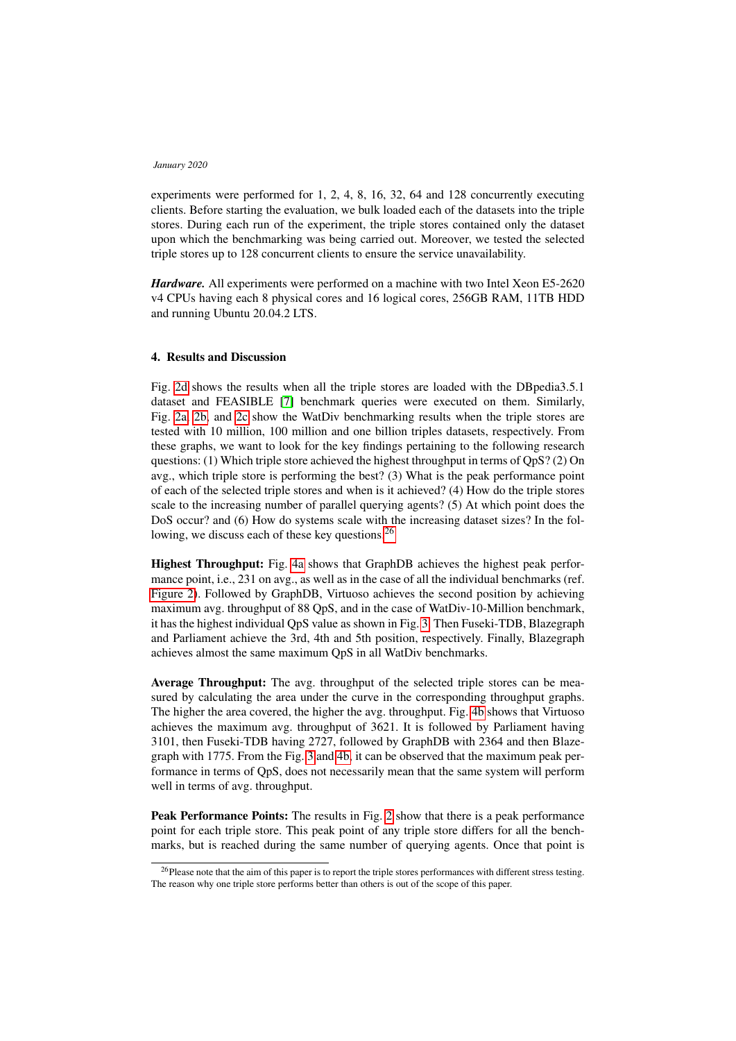experiments were performed for 1, 2, 4, 8, 16, 32, 64 and 128 concurrently executing clients. Before starting the evaluation, we bulk loaded each of the datasets into the triple stores. During each run of the experiment, the triple stores contained only the dataset upon which the benchmarking was being carried out. Moreover, we tested the selected triple stores up to 128 concurrent clients to ensure the service unavailability.

*Hardware.* All experiments were performed on a machine with two Intel Xeon E5-2620 v4 CPUs having each 8 physical cores and 16 logical cores, 256GB RAM, 11TB HDD and running Ubuntu 20.04.2 LTS.

## <span id="page-7-0"></span>4. Results and Discussion

Fig. [2d](#page-8-0) shows the results when all the triple stores are loaded with the DBpedia3.5.1 dataset and FEASIBLE [\[7\]](#page-11-6) benchmark queries were executed on them. Similarly, Fig. [2a, 2b,](#page-8-0) and [2c](#page-8-0) show the WatDiv benchmarking results when the triple stores are tested with 10 million, 100 million and one billion triples datasets, respectively. From these graphs, we want to look for the key findings pertaining to the following research questions: (1) Which triple store achieved the highest throughput in terms of  $QpS$ ? (2) On avg., which triple store is performing the best? (3) What is the peak performance point of each of the selected triple stores and when is it achieved? (4) How do the triple stores scale to the increasing number of parallel querying agents? (5) At which point does the DoS occur? and (6) How do systems scale with the increasing dataset sizes? In the fol-lowing, we discuss each of these key questions.<sup>[26](#page-7-1)</sup>

Highest Throughput: Fig. [4a](#page-9-0) shows that GraphDB achieves the highest peak performance point, i.e., 231 on avg., as well as in the case of all the individual benchmarks (ref. [Figure 2\)](#page-8-0). Followed by GraphDB, Virtuoso achieves the second position by achieving maximum avg. throughput of 88 QpS, and in the case of WatDiv-10-Million benchmark, it has the highest individual QpS value as shown in Fig. [3.](#page-9-1) Then Fuseki-TDB, Blazegraph and Parliament achieve the 3rd, 4th and 5th position, respectively. Finally, Blazegraph achieves almost the same maximum QpS in all WatDiv benchmarks.

Average Throughput: The avg. throughput of the selected triple stores can be measured by calculating the area under the curve in the corresponding throughput graphs. The higher the area covered, the higher the avg. throughput. Fig. [4b](#page-9-0) shows that Virtuoso achieves the maximum avg. throughput of 3621. It is followed by Parliament having 3101, then Fuseki-TDB having 2727, followed by GraphDB with 2364 and then Blazegraph with 1775. From the Fig. [3](#page-9-1) and [4b,](#page-9-0) it can be observed that the maximum peak performance in terms of QpS, does not necessarily mean that the same system will perform well in terms of avg. throughput.

Peak Performance Points: The results in Fig. [2](#page-8-0) show that there is a peak performance point for each triple store. This peak point of any triple store differs for all the benchmarks, but is reached during the same number of querying agents. Once that point is

<span id="page-7-1"></span><sup>&</sup>lt;sup>26</sup>Please note that the aim of this paper is to report the triple stores performances with different stress testing. The reason why one triple store performs better than others is out of the scope of this paper.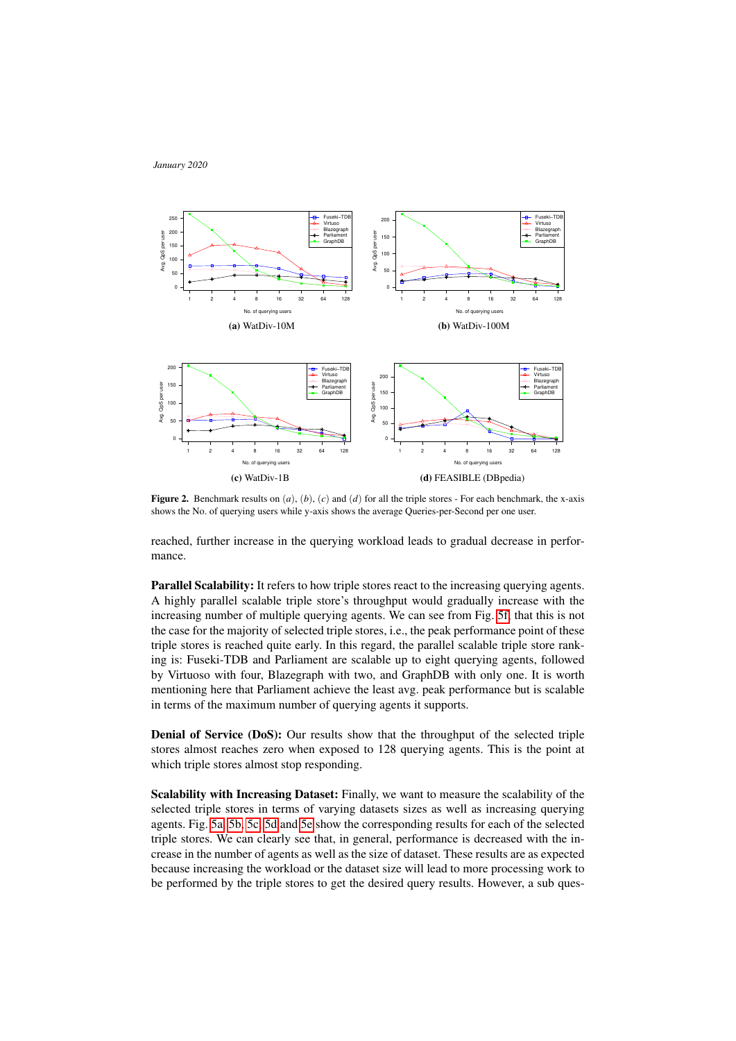

<span id="page-8-0"></span>

**Figure 2.** Benchmark results on  $(a)$ ,  $(b)$ ,  $(c)$  and  $(d)$  for all the triple stores - For each benchmark, the x-axis shows the No. of querying users while y-axis shows the average Queries-per-Second per one user.

reached, further increase in the querying workload leads to gradual decrease in performance.

Parallel Scalability: It refers to how triple stores react to the increasing querying agents. A highly parallel scalable triple store's throughput would gradually increase with the increasing number of multiple querying agents. We can see from Fig. [5f,](#page-10-1) that this is not the case for the majority of selected triple stores, i.e., the peak performance point of these triple stores is reached quite early. In this regard, the parallel scalable triple store ranking is: Fuseki-TDB and Parliament are scalable up to eight querying agents, followed by Virtuoso with four, Blazegraph with two, and GraphDB with only one. It is worth mentioning here that Parliament achieve the least avg. peak performance but is scalable in terms of the maximum number of querying agents it supports.

Denial of Service (DoS): Our results show that the throughput of the selected triple stores almost reaches zero when exposed to 128 querying agents. This is the point at which triple stores almost stop responding.

Scalability with Increasing Dataset: Finally, we want to measure the scalability of the selected triple stores in terms of varying datasets sizes as well as increasing querying agents. Fig. [5a, 5b, 5c, 5d](#page-10-1) and [5e](#page-10-1) show the corresponding results for each of the selected triple stores. We can clearly see that, in general, performance is decreased with the increase in the number of agents as well as the size of dataset. These results are as expected because increasing the workload or the dataset size will lead to more processing work to be performed by the triple stores to get the desired query results. However, a sub ques-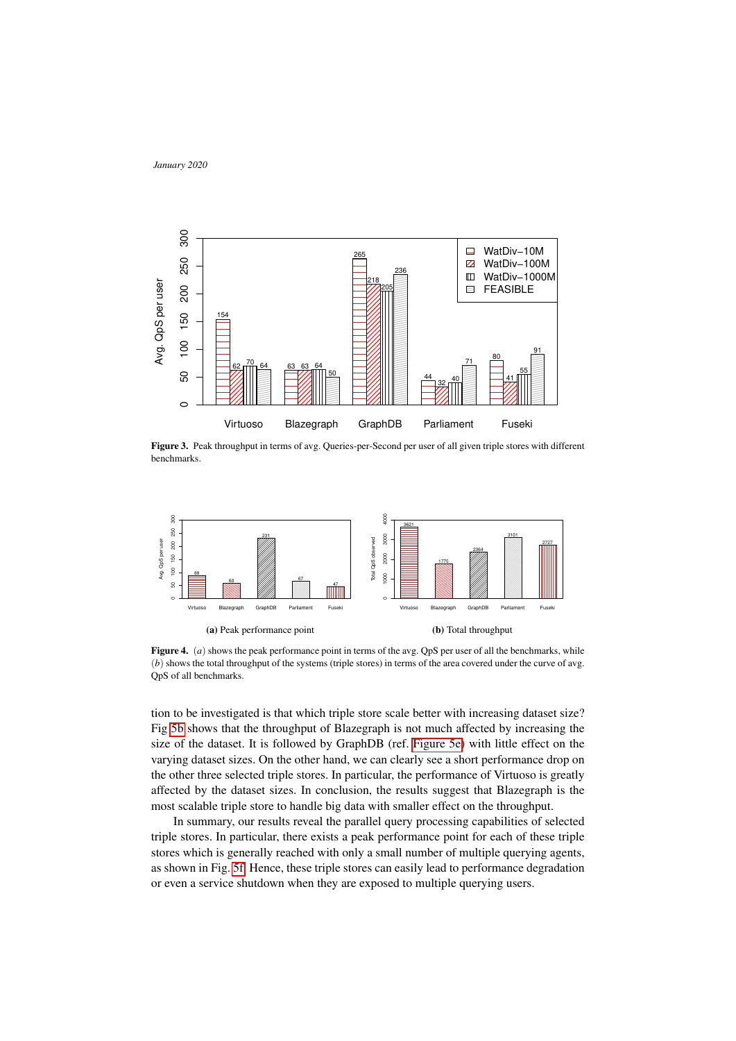<span id="page-9-1"></span>

Figure 3. Peak throughput in terms of avg. Queries-per-Second per user of all given triple stores with different benchmarks.

<span id="page-9-0"></span>

Figure 4. (*a*) shows the peak performance point in terms of the avg. QpS per user of all the benchmarks, while (*b*) shows the total throughput of the systems (triple stores) in terms of the area covered under the curve of avg. QpS of all benchmarks.

tion to be investigated is that which triple store scale better with increasing dataset size? Fig [5b](#page-10-1) shows that the throughput of Blazegraph is not much affected by increasing the size of the dataset. It is followed by GraphDB (ref. [Figure 5e\)](#page-10-1) with little effect on the varying dataset sizes. On the other hand, we can clearly see a short performance drop on the other three selected triple stores. In particular, the performance of Virtuoso is greatly affected by the dataset sizes. In conclusion, the results suggest that Blazegraph is the most scalable triple store to handle big data with smaller effect on the throughput.

In summary, our results reveal the parallel query processing capabilities of selected triple stores. In particular, there exists a peak performance point for each of these triple stores which is generally reached with only a small number of multiple querying agents, as shown in Fig. [5f.](#page-10-1) Hence, these triple stores can easily lead to performance degradation or even a service shutdown when they are exposed to multiple querying users.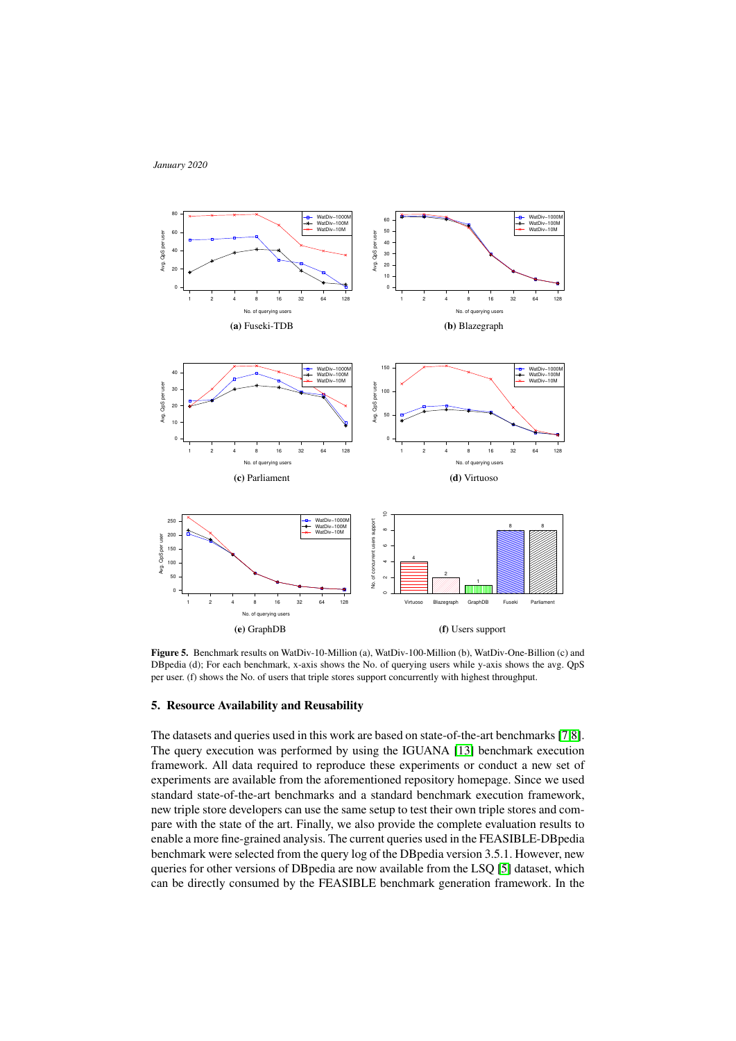<span id="page-10-1"></span>

Figure 5. Benchmark results on WatDiv-10-Million (a), WatDiv-100-Million (b), WatDiv-One-Billion (c) and DBpedia (d); For each benchmark, x-axis shows the No. of querying users while y-axis shows the avg. QpS per user. (f) shows the No. of users that triple stores support concurrently with highest throughput.

## <span id="page-10-0"></span>5. Resource Availability and Reusability

The datasets and queries used in this work are based on state-of-the-art benchmarks [\[7,](#page-11-6)[8\]](#page-11-7). The query execution was performed by using the IGUANA [\[13\]](#page-12-4) benchmark execution framework. All data required to reproduce these experiments or conduct a new set of experiments are available from the aforementioned repository homepage. Since we used standard state-of-the-art benchmarks and a standard benchmark execution framework, new triple store developers can use the same setup to test their own triple stores and compare with the state of the art. Finally, we also provide the complete evaluation results to enable a more fine-grained analysis. The current queries used in the FEASIBLE-DBpedia benchmark were selected from the query log of the DBpedia version 3.5.1. However, new queries for other versions of DBpedia are now available from the LSQ [\[5\]](#page-11-4) dataset, which can be directly consumed by the FEASIBLE benchmark generation framework. In the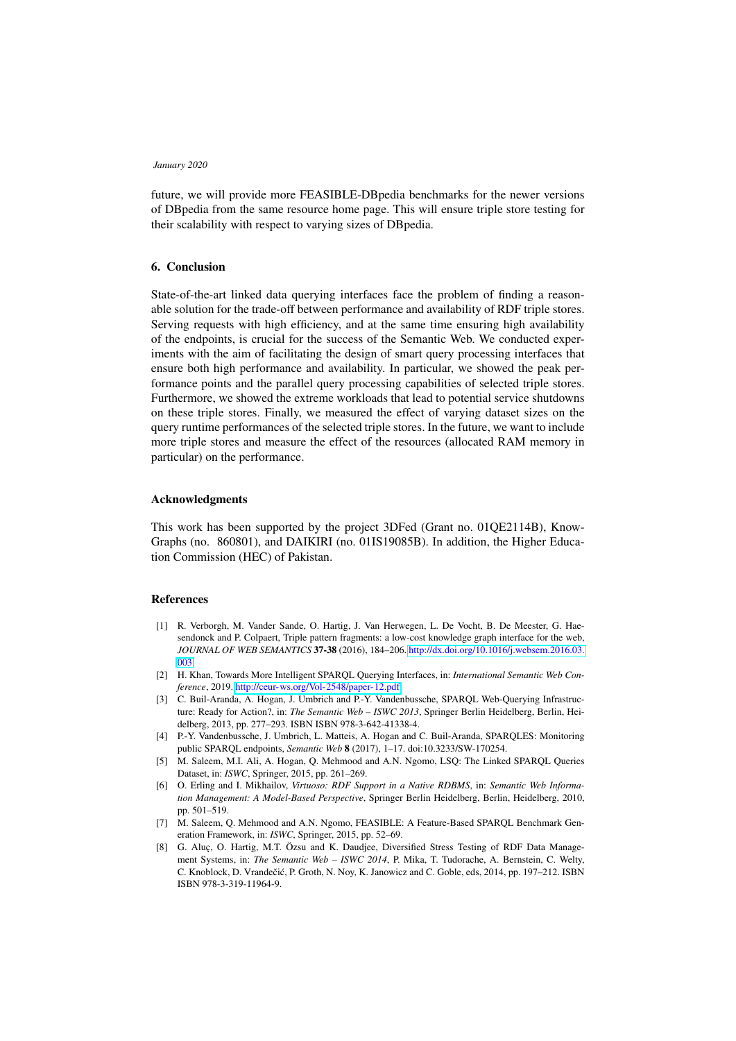future, we will provide more FEASIBLE-DBpedia benchmarks for the newer versions of DBpedia from the same resource home page. This will ensure triple store testing for their scalability with respect to varying sizes of DBpedia.

## <span id="page-11-8"></span>6. Conclusion

State-of-the-art linked data querying interfaces face the problem of finding a reasonable solution for the trade-off between performance and availability of RDF triple stores. Serving requests with high efficiency, and at the same time ensuring high availability of the endpoints, is crucial for the success of the Semantic Web. We conducted experiments with the aim of facilitating the design of smart query processing interfaces that ensure both high performance and availability. In particular, we showed the peak performance points and the parallel query processing capabilities of selected triple stores. Furthermore, we showed the extreme workloads that lead to potential service shutdowns on these triple stores. Finally, we measured the effect of varying dataset sizes on the query runtime performances of the selected triple stores. In the future, we want to include more triple stores and measure the effect of the resources (allocated RAM memory in particular) on the performance.

### Acknowledgments

This work has been supported by the project 3DFed (Grant no. 01QE2114B), Know-Graphs (no. 860801), and DAIKIRI (no. 01IS19085B). In addition, the Higher Education Commission (HEC) of Pakistan.

## References

- <span id="page-11-0"></span>[1] R. Verborgh, M. Vander Sande, O. Hartig, J. Van Herwegen, L. De Vocht, B. De Meester, G. Haesendonck and P. Colpaert, Triple pattern fragments: a low-cost knowledge graph interface for the web, *JOURNAL OF WEB SEMANTICS* 37-38 (2016), 184–206. [http://dx.doi.org/10.1016/j.websem.2016.03.](http://dx.doi.org/10.1016/j.websem.2016.03.003) [003.](http://dx.doi.org/10.1016/j.websem.2016.03.003)
- <span id="page-11-1"></span>[2] H. Khan, Towards More Intelligent SPARQL Querying Interfaces, in: *International Semantic Web Conference*, 2019. [http://ceur-ws.org/Vol-2548/paper-12.pdf.](http://ceur-ws.org/Vol-2548/paper-12.pdf)
- <span id="page-11-2"></span>[3] C. Buil-Aranda, A. Hogan, J. Umbrich and P.-Y. Vandenbussche, SPARQL Web-Querying Infrastructure: Ready for Action?, in: *The Semantic Web – ISWC 2013*, Springer Berlin Heidelberg, Berlin, Heidelberg, 2013, pp. 277–293. ISBN ISBN 978-3-642-41338-4.
- <span id="page-11-3"></span>[4] P.-Y. Vandenbussche, J. Umbrich, L. Matteis, A. Hogan and C. Buil-Aranda, SPARQLES: Monitoring public SPARQL endpoints, *Semantic Web* 8 (2017), 1–17. doi:10.3233/SW-170254.
- <span id="page-11-4"></span>[5] M. Saleem, M.I. Ali, A. Hogan, Q. Mehmood and A.N. Ngomo, LSQ: The Linked SPARQL Queries Dataset, in: *ISWC*, Springer, 2015, pp. 261–269.
- <span id="page-11-5"></span>[6] O. Erling and I. Mikhailov, *Virtuoso: RDF Support in a Native RDBMS*, in: *Semantic Web Information Management: A Model-Based Perspective*, Springer Berlin Heidelberg, Berlin, Heidelberg, 2010, pp. 501–519.
- <span id="page-11-6"></span>[7] M. Saleem, Q. Mehmood and A.N. Ngomo, FEASIBLE: A Feature-Based SPARQL Benchmark Generation Framework, in: *ISWC*, Springer, 2015, pp. 52–69.
- <span id="page-11-7"></span>[8] G. Aluc, O. Hartig, M.T. Özsu and K. Daudjee, Diversified Stress Testing of RDF Data Management Systems, in: *The Semantic Web – ISWC 2014*, P. Mika, T. Tudorache, A. Bernstein, C. Welty, C. Knoblock, D. Vrandečić, P. Groth, N. Noy, K. Janowicz and C. Goble, eds, 2014, pp. 197-212. ISBN ISBN 978-3-319-11964-9.